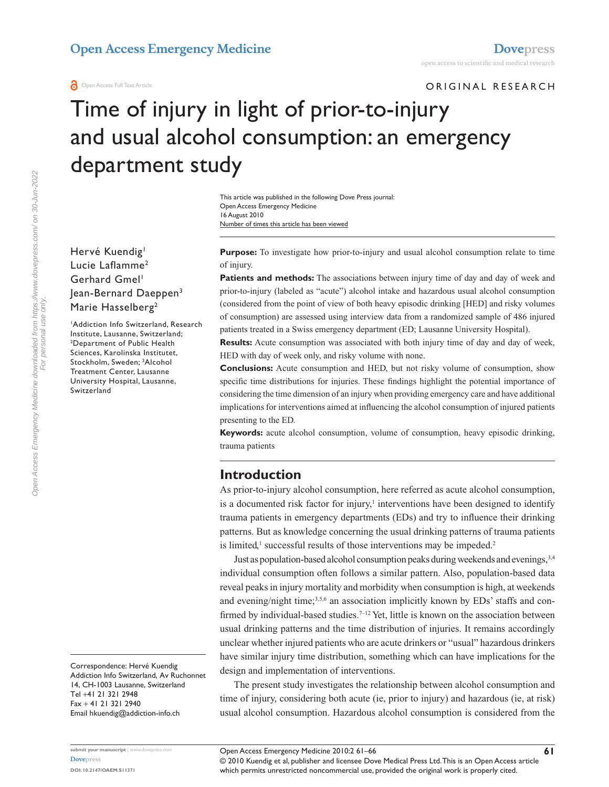#### **Open Access Emergency Medicine [Dovepress](www.dovepress.com)**

ORIGINAL RESEARCH

# Time of injury in light of prior-to-injury and usual alcohol consumption: an emergency department study

Number of times this article has been viewed This article was published in the following Dove Press journal: Open Access Emergency Medicine 16 August 2010

Hervé Kuendig<sup>1</sup> Lucie Laflamme<sup>2</sup> Gerhard Gmel<sup>1</sup> Jean-Bernard Daeppen3 Marie Hasselberg<sup>2</sup>

1 Addiction Info Switzerland, Research Institute, Lausanne, Switzerland; 2 Department of Public Health Sciences, Karolinska Institutet, Stockholm, Sweden; 3 Alcohol Treatment Center, Lausanne University Hospital, Lausanne, Switzerland

Correspondence: Hervé Kuendig Addiction Info Switzerland, Av Ruchonnet 14, CH-1003 Lausanne, Switzerland Tel +41 21 321 2948 Fax + 41 21 321 2940 Email hkuendig@addiction-info.ch

**Purpose:** To investigate how prior-to-injury and usual alcohol consumption relate to time of injury.

**Patients and methods:** The associations between injury time of day and day of week and prior-to-injury (labeled as "acute") alcohol intake and hazardous usual alcohol consumption (considered from the point of view of both heavy episodic drinking [HED] and risky volumes of consumption) are assessed using interview data from a randomized sample of 486 injured patients treated in a Swiss emergency department (ED; Lausanne University Hospital).

**Results:** Acute consumption was associated with both injury time of day and day of week, HED with day of week only, and risky volume with none.

**Conclusions:** Acute consumption and HED, but not risky volume of consumption, show specific time distributions for injuries. These findings highlight the potential importance of considering the time dimension of an injury when providing emergency care and have additional implications for interventions aimed at influencing the alcohol consumption of injured patients presenting to the ED.

**Keywords:** acute alcohol consumption, volume of consumption, heavy episodic drinking, trauma patients

## **Introduction**

As prior-to-injury alcohol consumption, here referred as acute alcohol consumption, is a documented risk factor for injury, $\frac{1}{2}$  interventions have been designed to identify trauma patients in emergency departments (EDs) and try to influence their drinking patterns. But as knowledge concerning the usual drinking patterns of trauma patients is limited,<sup>1</sup> successful results of those interventions may be impeded.<sup>2</sup>

Just as population-based alcohol consumption peaks during weekends and evenings,3,4 individual consumption often follows a similar pattern. Also, population-based data reveal peaks in injury mortality and morbidity when consumption is high, at weekends and evening/night time;<sup>3,5,6</sup> an association implicitly known by EDs' staffs and confirmed by individual-based studies.<sup>7-12</sup> Yet, little is known on the association between usual drinking patterns and the time distribution of injuries. It remains accordingly unclear whether injured patients who are acute drinkers or "usual" hazardous drinkers have similar injury time distribution, something which can have implications for the design and implementation of interventions.

The present study investigates the relationship between alcohol consumption and time of injury, considering both acute (ie, prior to injury) and hazardous (ie, at risk) usual alcohol consumption. Hazardous alcohol consumption is considered from the

© 2010 Kuendig et al, publisher and licensee Dove Medical Press Ltd. This is an Open Access article which permits unrestricted noncommercial use, provided the original work is properly cited.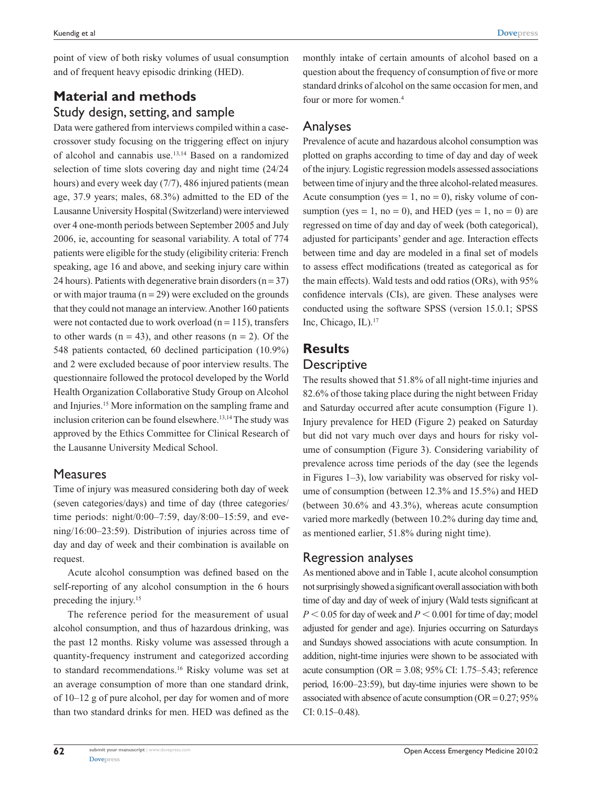point of view of both risky volumes of usual consumption and of frequent heavy episodic drinking (HED).

# **Material and methods** Study design, setting, and sample

Data were gathered from interviews compiled within a casecrossover study focusing on the triggering effect on injury of alcohol and cannabis use.13,14 Based on a randomized selection of time slots covering day and night time (24/24 hours) and every week day (7/7), 486 injured patients (mean age, 37.9 years; males, 68.3%) admitted to the ED of the Lausanne University Hospital (Switzerland) were interviewed over 4 one-month periods between September 2005 and July 2006, ie, accounting for seasonal variability. A total of 774 patients were eligible for the study (eligibility criteria: French speaking, age 16 and above, and seeking injury care within 24 hours). Patients with degenerative brain disorders  $(n = 37)$ or with major trauma ( $n = 29$ ) were excluded on the grounds that they could not manage an interview. Another 160 patients were not contacted due to work overload ( $n = 115$ ), transfers to other wards  $(n = 43)$ , and other reasons  $(n = 2)$ . Of the 548 patients contacted, 60 declined participation (10.9%) and 2 were excluded because of poor interview results. The questionnaire followed the protocol developed by the World Health Organization Collaborative Study Group on Alcohol and Injuries.15 More information on the sampling frame and inclusion criterion can be found elsewhere.<sup>13,14</sup> The study was approved by the Ethics Committee for Clinical Research of the Lausanne University Medical School.

#### **Measures**

Time of injury was measured considering both day of week (seven categories/days) and time of day (three categories/ time periods: night/0:00–7:59, day/8:00–15:59, and evening/16:00–23:59). Distribution of injuries across time of day and day of week and their combination is available on request.

Acute alcohol consumption was defined based on the self-reporting of any alcohol consumption in the 6 hours preceding the injury.15

The reference period for the measurement of usual alcohol consumption, and thus of hazardous drinking, was the past 12 months. Risky volume was assessed through a quantity-frequency instrument and categorized according to standard recommendations.<sup>16</sup> Risky volume was set at an average consumption of more than one standard drink, of 10–12 g of pure alcohol, per day for women and of more than two standard drinks for men. HED was defined as the monthly intake of certain amounts of alcohol based on a question about the frequency of consumption of five or more standard drinks of alcohol on the same occasion for men, and four or more for women.<sup>4</sup>

## Analyses

Prevalence of acute and hazardous alcohol consumption was plotted on graphs according to time of day and day of week of the injury. Logistic regression models assessed associations between time of injury and the three alcohol-related measures. Acute consumption (yes  $= 1$ , no  $= 0$ ), risky volume of consumption (yes = 1, no = 0), and HED (yes = 1, no = 0) are regressed on time of day and day of week (both categorical), adjusted for participants' gender and age. Interaction effects between time and day are modeled in a final set of models to assess effect modifications (treated as categorical as for the main effects). Wald tests and odd ratios (ORs), with 95% confidence intervals (CIs), are given. These analyses were conducted using the software SPSS (version 15.0.1; SPSS Inc, Chicago, IL).<sup>17</sup>

## **Results**

#### **Descriptive**

The results showed that 51.8% of all night-time injuries and 82.6% of those taking place during the night between Friday and Saturday occurred after acute consumption (Figure 1). Injury prevalence for HED (Figure 2) peaked on Saturday but did not vary much over days and hours for risky volume of consumption (Figure 3). Considering variability of prevalence across time periods of the day (see the legends in Figures 1–3), low variability was observed for risky volume of consumption (between 12.3% and 15.5%) and HED (between 30.6% and 43.3%), whereas acute consumption varied more markedly (between 10.2% during day time and, as mentioned earlier, 51.8% during night time).

## Regression analyses

As mentioned above and in Table 1, acute alcohol consumption not surprisingly showed a significant overall association with both time of day and day of week of injury (Wald tests significant at  $P < 0.05$  for day of week and  $P < 0.001$  for time of day; model adjusted for gender and age). Injuries occurring on Saturdays and Sundays showed associations with acute consumption. In addition, night-time injuries were shown to be associated with acute consumption ( $OR = 3.08$ ;  $95\%$  CI: 1.75–5.43; reference period, 16:00–23:59), but day-time injuries were shown to be associated with absence of acute consumption ( $OR = 0.27$ ;  $95\%$ ) CI: 0.15–0.48).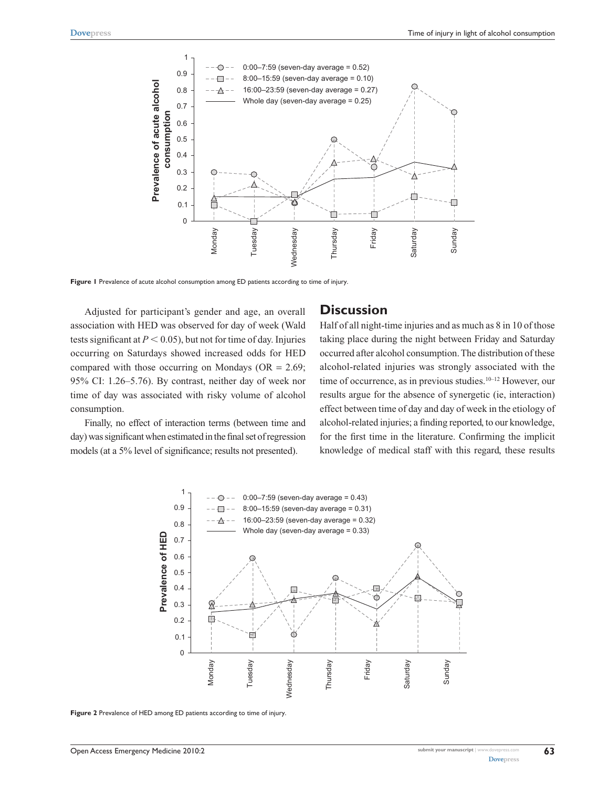

**Figure 1** Prevalence of acute alcohol consumption among ED patients according to time of injury.

Adjusted for participant's gender and age, an overall association with HED was observed for day of week (Wald tests significant at  $P < 0.05$ ), but not for time of day. Injuries occurring on Saturdays showed increased odds for HED compared with those occurring on Mondays ( $OR = 2.69$ ; 95% CI: 1.26–5.76). By contrast, neither day of week nor time of day was associated with risky volume of alcohol consumption.

Finally, no effect of interaction terms (between time and day) was significant when estimated in the final set of regression models (at a 5% level of significance; results not presented).

#### **Discussion**

Half of all night-time injuries and as much as 8 in 10 of those taking place during the night between Friday and Saturday occurred after alcohol consumption. The distribution of these alcohol-related injuries was strongly associated with the time of occurrence, as in previous studies.<sup>10–12</sup> However, our results argue for the absence of synergetic (ie, interaction) effect between time of day and day of week in the etiology of alcohol-related injuries; a finding reported, to our knowledge, for the first time in the literature. Confirming the implicit knowledge of medical staff with this regard, these results



**Figure 2** Prevalence of HED among ED patients according to time of injury.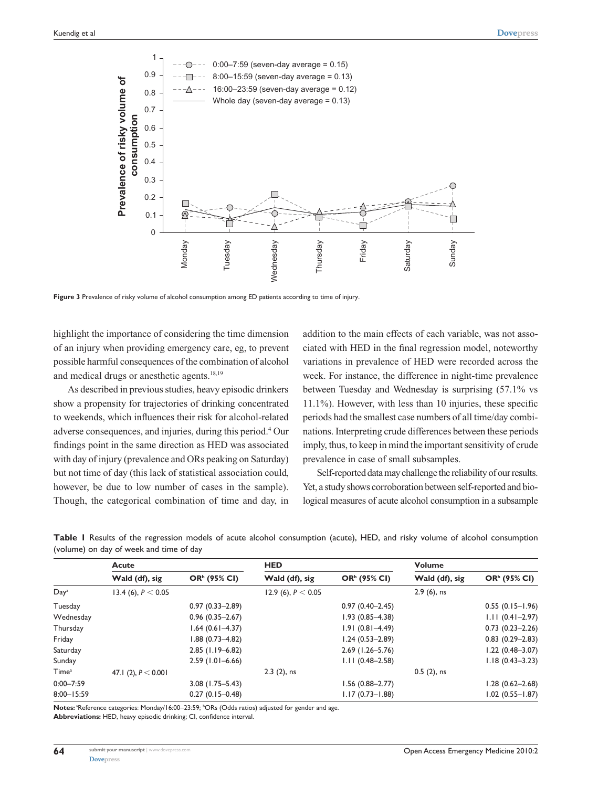

**Figure 3** Prevalence of risky volume of alcohol consumption among ED patients according to time of injury.

highlight the importance of considering the time dimension of an injury when providing emergency care, eg, to prevent possible harmful consequences of the combination of alcohol and medical drugs or anesthetic agents.<sup>18,19</sup>

As described in previous studies, heavy episodic drinkers show a propensity for trajectories of drinking concentrated to weekends, which influences their risk for alcohol-related adverse consequences, and injuries, during this period.4 Our findings point in the same direction as HED was associated with day of injury (prevalence and ORs peaking on Saturday) but not time of day (this lack of statistical association could, however, be due to low number of cases in the sample). Though, the categorical combination of time and day, in

addition to the main effects of each variable, was not associated with HED in the final regression model, noteworthy variations in prevalence of HED were recorded across the week. For instance, the difference in night-time prevalence between Tuesday and Wednesday is surprising (57.1% vs 11.1%). However, with less than 10 injuries, these specific periods had the smallest case numbers of all time/day combinations. Interpreting crude differences between these periods imply, thus, to keep in mind the important sensitivity of crude prevalence in case of small subsamples.

Self-reported data may challenge the reliability of our results. Yet, a study shows corroboration between self-reported and biological measures of acute alcohol consumption in a subsample

|                   | <b>Acute</b>          |                          | <b>HED</b>           |                          | <b>Volume</b>  |                          |
|-------------------|-----------------------|--------------------------|----------------------|--------------------------|----------------|--------------------------|
|                   | Wald (df), sig        | OR <sup>b</sup> (95% CI) | Wald (df), sig       | OR <sup>b</sup> (95% CI) | Wald (df), sig | OR <sup>b</sup> (95% CI) |
| Day <sup>a</sup>  | 13.4 (6), $P < 0.05$  |                          | 12.9 (6), $P < 0.05$ |                          | $2.9(6)$ , ns  |                          |
| Tuesday           |                       | $0.97(0.33 - 2.89)$      |                      | $0.97(0.40 - 2.45)$      |                | $0.55(0.15 - 1.96)$      |
| Wednesday         |                       | $0.96(0.35 - 2.67)$      |                      | $1.93(0.85 - 4.38)$      |                | $1.11(0.41 - 2.97)$      |
| Thursday          |                       | $1.64(0.61 - 4.37)$      |                      | $1.91(0.81 - 4.49)$      |                | $0.73(0.23 - 2.26)$      |
| Friday            |                       | $1.88(0.73 - 4.82)$      |                      | $1.24(0.53 - 2.89)$      |                | $0.83$ $(0.29-2.83)$     |
| Saturday          |                       | $2.85$ (1.19–6.82)       |                      | $2.69$ (1.26-5.76)       |                | $1.22(0.48 - 3.07)$      |
| Sunday            |                       | $2.59(1.01 - 6.66)$      |                      | $1.11(0.48 - 2.58)$      |                | $1.18(0.43 - 3.23)$      |
| Time <sup>a</sup> | 47.1 (2), $P < 0.001$ |                          | $2.3$ (2), ns        |                          | $0.5(2)$ , ns  |                          |
| $0:00 - 7:59$     |                       | $3.08$ (1.75–5.43)       |                      | $1.56(0.88 - 2.77)$      |                | $1.28(0.62 - 2.68)$      |
| $8:00 - 15:59$    |                       | $0.27(0.15 - 0.48)$      |                      | $1.17(0.73 - 1.88)$      |                | $1.02$ $(0.55 - 1.87)$   |

**Table 1** Results of the regression models of acute alcohol consumption (acute), HED, and risky volume of alcohol consumption (volume) on day of week and time of day

Notes: <sup>a</sup>Reference categories: Monday/16:00-23:59; <sup>b</sup>ORs (Odds ratios) adjusted for gender and age.

**Abbreviations:** HED, heavy episodic drinking; CI, confidence interval.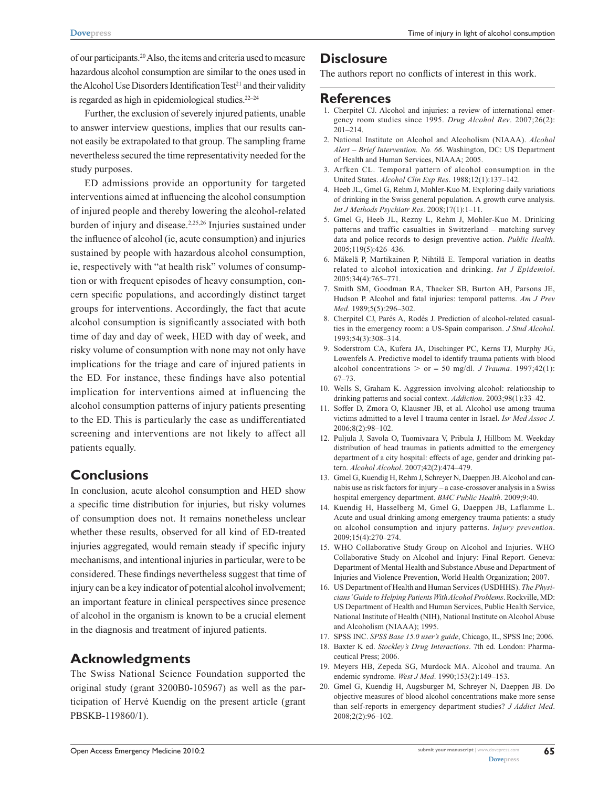of our participants.20 Also, the items and criteria used to measure hazardous alcohol consumption are similar to the ones used in the Alcohol Use Disorders Identification Test<sup>21</sup> and their validity is regarded as high in epidemiological studies. $22-24$ 

Further, the exclusion of severely injured patients, unable to answer interview questions, implies that our results cannot easily be extrapolated to that group. The sampling frame nevertheless secured the time representativity needed for the study purposes.

ED admissions provide an opportunity for targeted interventions aimed at influencing the alcohol consumption of injured people and thereby lowering the alcohol-related burden of injury and disease.<sup>2,25,26</sup> Injuries sustained under the influence of alcohol (ie, acute consumption) and injuries sustained by people with hazardous alcohol consumption, ie, respectively with "at health risk" volumes of consumption or with frequent episodes of heavy consumption, concern specific populations, and accordingly distinct target groups for interventions. Accordingly, the fact that acute alcohol consumption is significantly associated with both time of day and day of week, HED with day of week, and risky volume of consumption with none may not only have implications for the triage and care of injured patients in the ED. For instance, these findings have also potential implication for interventions aimed at influencing the alcohol consumption patterns of injury patients presenting to the ED. This is particularly the case as undifferentiated screening and interventions are not likely to affect all patients equally.

## **Conclusions**

In conclusion, acute alcohol consumption and HED show a specific time distribution for injuries, but risky volumes of consumption does not. It remains nonetheless unclear whether these results, observed for all kind of ED-treated injuries aggregated, would remain steady if specific injury mechanisms, and intentional injuries in particular, were to be considered. These findings nevertheless suggest that time of injury can be a key indicator of potential alcohol involvement; an important feature in clinical perspectives since presence of alcohol in the organism is known to be a crucial element in the diagnosis and treatment of injured patients.

## **Acknowledgments**

The Swiss National Science Foundation supported the original study (grant 3200B0-105967) as well as the participation of Hervé Kuendig on the present article (grant PBSKB-119860/1).

#### **Disclosure**

The authors report no conflicts of interest in this work.

#### **References**

- 1. Cherpitel CJ. Alcohol and injuries: a review of international emergency room studies since 1995. *Drug Alcohol Rev*. 2007;26(2): 201–214.
- 2. National Institute on Alcohol and Alcoholism (NIAAA). *Alcohol Alert – Brief Intervention. No. 66*. Washington, DC: US Department of Health and Human Services, NIAAA; 2005.
- 3. Arfken CL. Temporal pattern of alcohol consumption in the United States. *Alcohol Clin Exp Res*. 1988;12(1):137–142.
- 4. Heeb JL, Gmel G, Rehm J, Mohler-Kuo M. Exploring daily variations of drinking in the Swiss general population. A growth curve analysis. *Int J Methods Psychiatr Res*. 2008;17(1):1–11.
- 5. Gmel G, Heeb JL, Rezny L, Rehm J, Mohler-Kuo M. Drinking patterns and traffic casualties in Switzerland – matching survey data and police records to design preventive action. *Public Health*. 2005;119(5):426–436.
- 6. Mäkelä P, Martikainen P, Nihtilä E. Temporal variation in deaths related to alcohol intoxication and drinking. *Int J Epidemiol*. 2005;34(4):765–771.
- 7. Smith SM, Goodman RA, Thacker SB, Burton AH, Parsons JE, Hudson P. Alcohol and fatal injuries: temporal patterns. *Am J Prev Med*. 1989;5(5):296–302.
- 8. Cherpitel CJ, Parés A, Rodés J. Prediction of alcohol-related casualties in the emergency room: a US-Spain comparison. *J Stud Alcohol*. 1993;54(3):308–314.
- 9. Soderstrom CA, Kufera JA, Dischinger PC, Kerns TJ, Murphy JG, Lowenfels A. Predictive model to identify trauma patients with blood alcohol concentrations  $>$  or = 50 mg/dl. *J Trauma*. 1997;42(1): 67–73.
- 10. Wells S, Graham K. Aggression involving alcohol: relationship to drinking patterns and social context. *Addiction*. 2003;98(1):33–42.
- 11. Soffer D, Zmora O, Klausner JB, et al. Alcohol use among trauma victims admitted to a level I trauma center in Israel. *Isr Med Assoc J*. 2006;8(2):98–102.
- 12. Puljula J, Savola O, Tuomivaara V, Pribula J, Hillbom M. Weekday distribution of head traumas in patients admitted to the emergency department of a city hospital: effects of age, gender and drinking pattern. *Alcohol Alcohol*. 2007;42(2):474–479.
- 13. Gmel G, Kuendig H, Rehm J, Schreyer N, Daeppen JB. Alcohol and cannabis use as risk factors for injury – a case-crossover analysis in a Swiss hospital emergency department. *BMC Public Health*. 2009;9:40.
- 14. Kuendig H, Hasselberg M, Gmel G, Daeppen JB, Laflamme L. Acute and usual drinking among emergency trauma patients: a study on alcohol consumption and injury patterns. *Injury prevention*. 2009;15(4):270–274.
- 15. WHO Collaborative Study Group on Alcohol and Injuries. WHO Collaborative Study on Alcohol and Injury: Final Report. Geneva: Department of Mental Health and Substance Abuse and Department of Injuries and Violence Prevention, World Health Organization; 2007.
- 16. US Department of Health and Human Services (USDHHS). *The Physicians' Guide to Helping Patients With Alcohol Problems*. Rockville, MD: US Department of Health and Human Services, Public Health Service, National Institute of Health (NIH), National Institute on Alcohol Abuse and Alcoholism (NIAAA); 1995.
- 17. SPSS INC. *SPSS Base 15.0 user's guide*, Chicago, IL, SPSS Inc; 2006.
- 18. Baxter K ed. *Stockley's Drug Interactions*. 7th ed. London: Pharmaceutical Press; 2006.
- 19. Meyers HB, Zepeda SG, Murdock MA. Alcohol and trauma. An endemic syndrome. *West J Med*. 1990;153(2):149–153.
- 20. Gmel G, Kuendig H, Augsburger M, Schreyer N, Daeppen JB. Do objective measures of blood alcohol concentrations make more sense than self-reports in emergency department studies? *J Addict Med*. 2008;2(2):96–102.